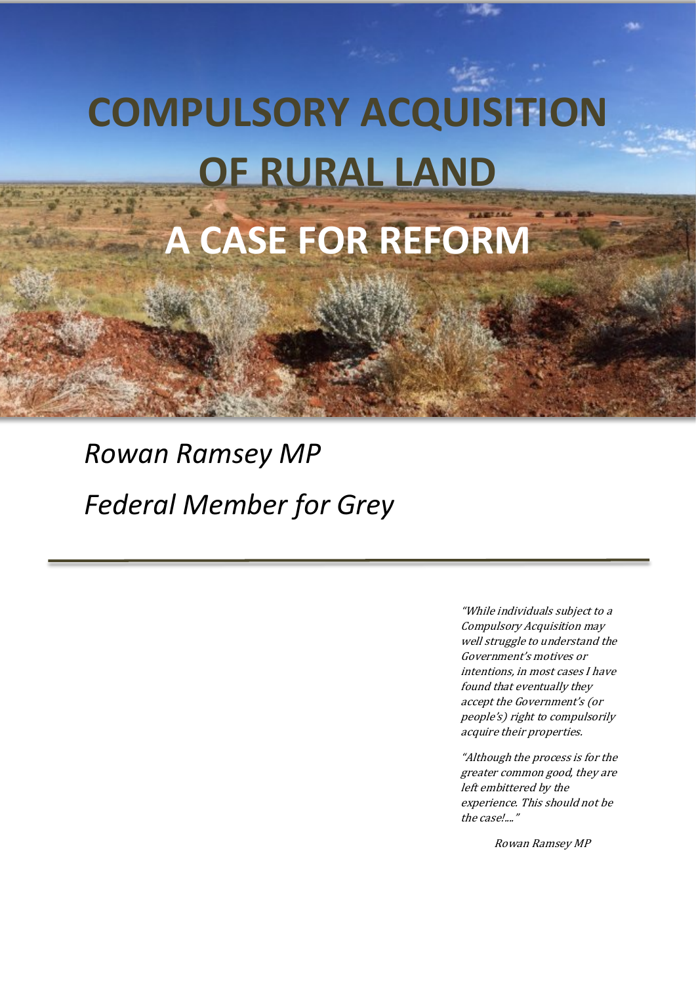# **COMPULSORY ACQUISITION OF RURAL LAND**

## **A CASE FOR REFORM**

### *Rowan Ramsey MP Federal Member for Grey*

"While individuals subject to a Compulsory Acquisition may well struggle to understand the Government's motives or intentions, in most cases I have found that eventually they accept the Government's (or people's) right to compulsorily acquire their properties.

"Although the process is for the greater common good, they are left embittered by the experience. This should not be the case!...."

Rowan Ramsey MP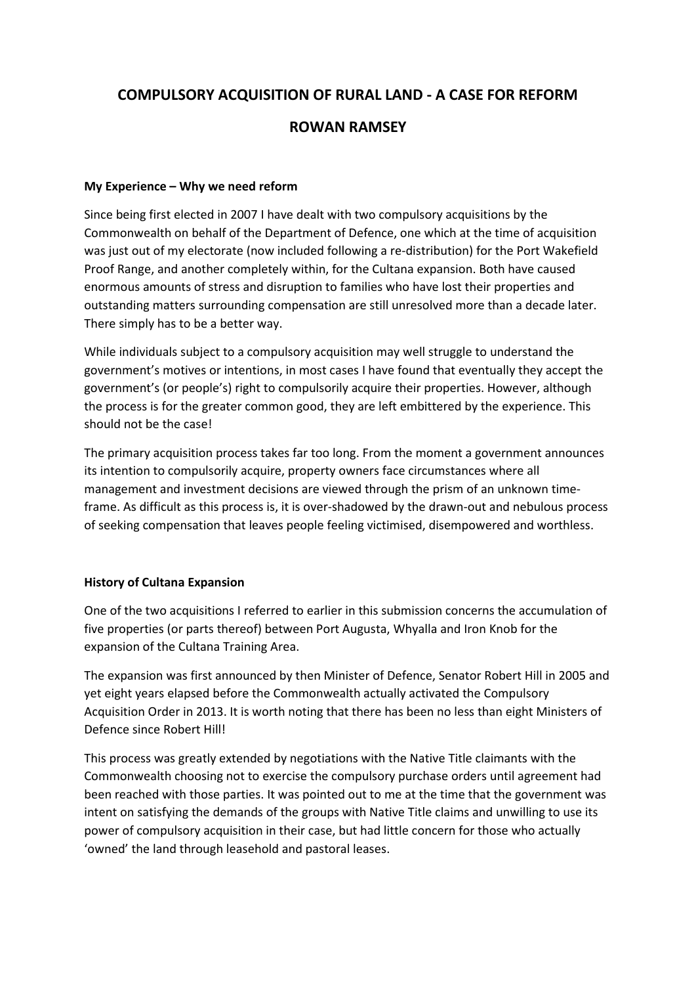#### **COMPULSORY ACQUISITION OF RURAL LAND - A CASE FOR REFORM**

#### **ROWAN RAMSEY**

#### **My Experience – Why we need reform**

Since being first elected in 2007 I have dealt with two compulsory acquisitions by the Commonwealth on behalf of the Department of Defence, one which at the time of acquisition was just out of my electorate (now included following a re-distribution) for the Port Wakefield Proof Range, and another completely within, for the Cultana expansion. Both have caused enormous amounts of stress and disruption to families who have lost their properties and outstanding matters surrounding compensation are still unresolved more than a decade later. There simply has to be a better way.

While individuals subject to a compulsory acquisition may well struggle to understand the government's motives or intentions, in most cases I have found that eventually they accept the government's (or people's) right to compulsorily acquire their properties. However, although the process is for the greater common good, they are left embittered by the experience. This should not be the case!

The primary acquisition process takes far too long. From the moment a government announces its intention to compulsorily acquire, property owners face circumstances where all management and investment decisions are viewed through the prism of an unknown timeframe. As difficult as this process is, it is over-shadowed by the drawn-out and nebulous process of seeking compensation that leaves people feeling victimised, disempowered and worthless.

#### **History of Cultana Expansion**

One of the two acquisitions I referred to earlier in this submission concerns the accumulation of five properties (or parts thereof) between Port Augusta, Whyalla and Iron Knob for the expansion of the Cultana Training Area.

The expansion was first announced by then Minister of Defence, Senator Robert Hill in 2005 and yet eight years elapsed before the Commonwealth actually activated the Compulsory Acquisition Order in 2013. It is worth noting that there has been no less than eight Ministers of Defence since Robert Hill!

This process was greatly extended by negotiations with the Native Title claimants with the Commonwealth choosing not to exercise the compulsory purchase orders until agreement had been reached with those parties. It was pointed out to me at the time that the government was intent on satisfying the demands of the groups with Native Title claims and unwilling to use its power of compulsory acquisition in their case, but had little concern for those who actually 'owned' the land through leasehold and pastoral leases.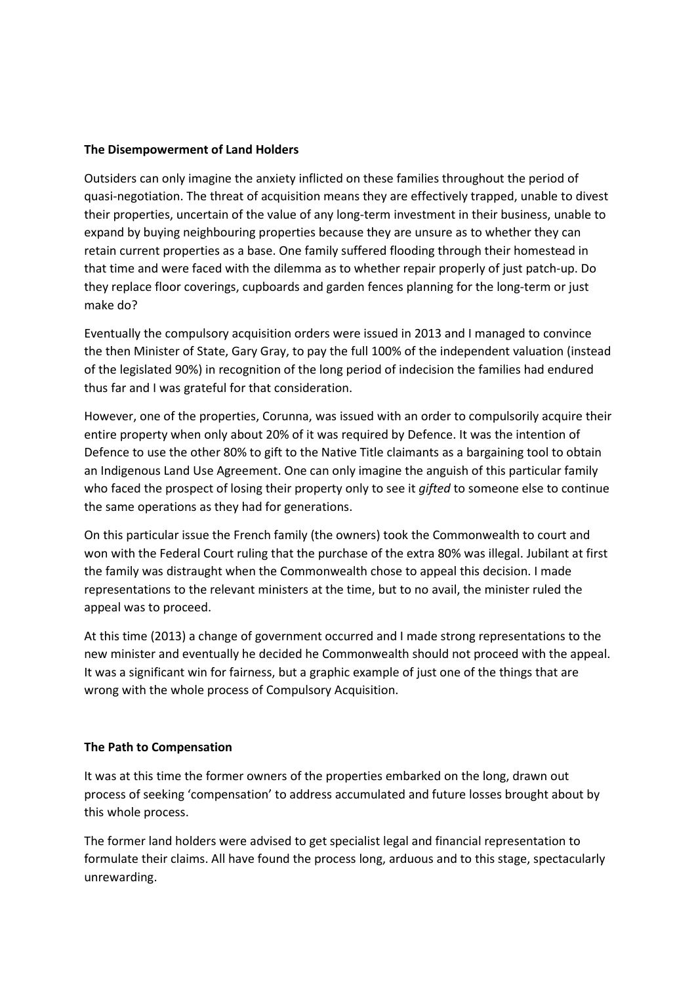#### **The Disempowerment of Land Holders**

Outsiders can only imagine the anxiety inflicted on these families throughout the period of quasi-negotiation. The threat of acquisition means they are effectively trapped, unable to divest their properties, uncertain of the value of any long-term investment in their business, unable to expand by buying neighbouring properties because they are unsure as to whether they can retain current properties as a base. One family suffered flooding through their homestead in that time and were faced with the dilemma as to whether repair properly of just patch-up. Do they replace floor coverings, cupboards and garden fences planning for the long-term or just make do?

Eventually the compulsory acquisition orders were issued in 2013 and I managed to convince the then Minister of State, Gary Gray, to pay the full 100% of the independent valuation (instead of the legislated 90%) in recognition of the long period of indecision the families had endured thus far and I was grateful for that consideration.

However, one of the properties, Corunna, was issued with an order to compulsorily acquire their entire property when only about 20% of it was required by Defence. It was the intention of Defence to use the other 80% to gift to the Native Title claimants as a bargaining tool to obtain an Indigenous Land Use Agreement. One can only imagine the anguish of this particular family who faced the prospect of losing their property only to see it *gifted* to someone else to continue the same operations as they had for generations.

On this particular issue the French family (the owners) took the Commonwealth to court and won with the Federal Court ruling that the purchase of the extra 80% was illegal. Jubilant at first the family was distraught when the Commonwealth chose to appeal this decision. I made representations to the relevant ministers at the time, but to no avail, the minister ruled the appeal was to proceed.

At this time (2013) a change of government occurred and I made strong representations to the new minister and eventually he decided he Commonwealth should not proceed with the appeal. It was a significant win for fairness, but a graphic example of just one of the things that are wrong with the whole process of Compulsory Acquisition.

#### **The Path to Compensation**

It was at this time the former owners of the properties embarked on the long, drawn out process of seeking 'compensation' to address accumulated and future losses brought about by this whole process.

The former land holders were advised to get specialist legal and financial representation to formulate their claims. All have found the process long, arduous and to this stage, spectacularly unrewarding.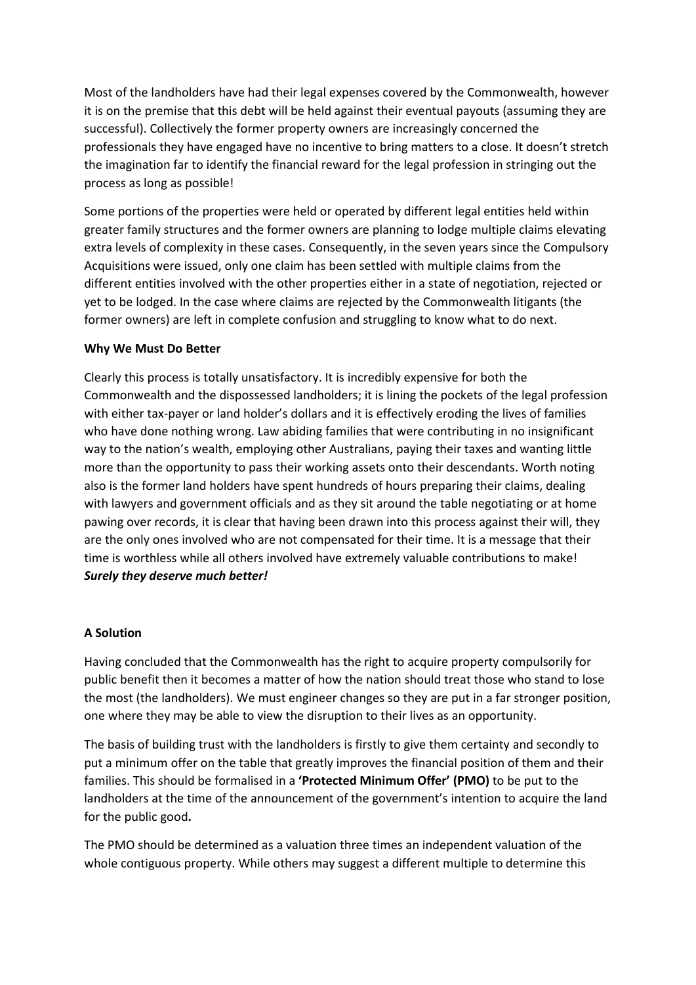Most of the landholders have had their legal expenses covered by the Commonwealth, however it is on the premise that this debt will be held against their eventual payouts (assuming they are successful). Collectively the former property owners are increasingly concerned the professionals they have engaged have no incentive to bring matters to a close. It doesn't stretch the imagination far to identify the financial reward for the legal profession in stringing out the process as long as possible!

Some portions of the properties were held or operated by different legal entities held within greater family structures and the former owners are planning to lodge multiple claims elevating extra levels of complexity in these cases. Consequently, in the seven years since the Compulsory Acquisitions were issued, only one claim has been settled with multiple claims from the different entities involved with the other properties either in a state of negotiation, rejected or yet to be lodged. In the case where claims are rejected by the Commonwealth litigants (the former owners) are left in complete confusion and struggling to know what to do next.

#### **Why We Must Do Better**

Clearly this process is totally unsatisfactory. It is incredibly expensive for both the Commonwealth and the dispossessed landholders; it is lining the pockets of the legal profession with either tax-payer or land holder's dollars and it is effectively eroding the lives of families who have done nothing wrong. Law abiding families that were contributing in no insignificant way to the nation's wealth, employing other Australians, paying their taxes and wanting little more than the opportunity to pass their working assets onto their descendants. Worth noting also is the former land holders have spent hundreds of hours preparing their claims, dealing with lawyers and government officials and as they sit around the table negotiating or at home pawing over records, it is clear that having been drawn into this process against their will, they are the only ones involved who are not compensated for their time. It is a message that their time is worthless while all others involved have extremely valuable contributions to make! *Surely they deserve much better!*

#### **A Solution**

Having concluded that the Commonwealth has the right to acquire property compulsorily for public benefit then it becomes a matter of how the nation should treat those who stand to lose the most (the landholders). We must engineer changes so they are put in a far stronger position, one where they may be able to view the disruption to their lives as an opportunity.

The basis of building trust with the landholders is firstly to give them certainty and secondly to put a minimum offer on the table that greatly improves the financial position of them and their families. This should be formalised in a **'Protected Minimum Offer' (PMO)** to be put to the landholders at the time of the announcement of the government's intention to acquire the land for the public good**.** 

The PMO should be determined as a valuation three times an independent valuation of the whole contiguous property. While others may suggest a different multiple to determine this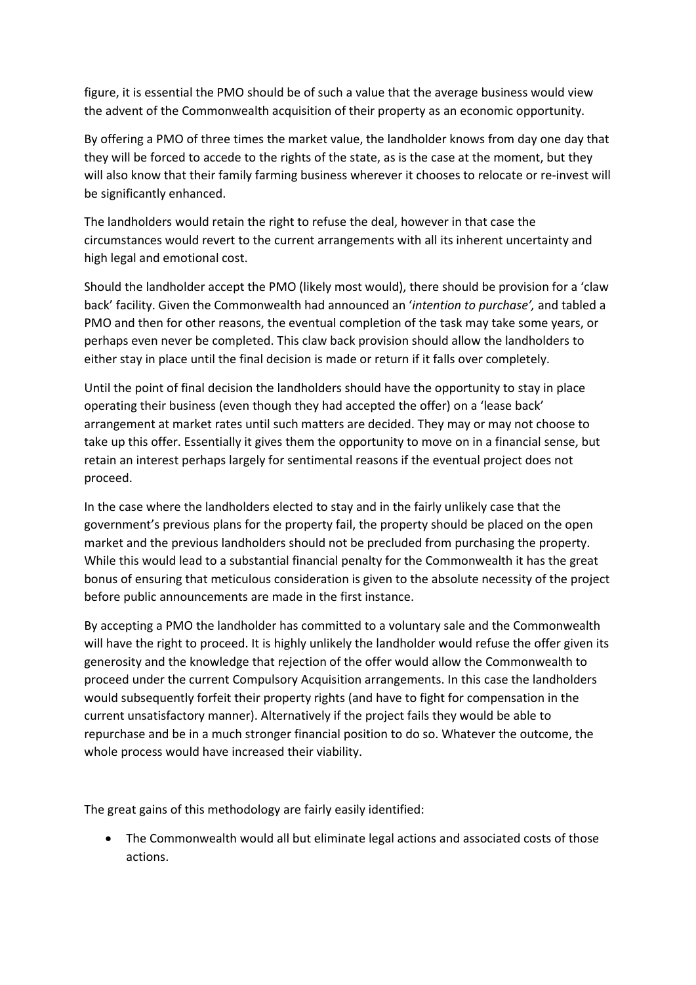figure, it is essential the PMO should be of such a value that the average business would view the advent of the Commonwealth acquisition of their property as an economic opportunity.

By offering a PMO of three times the market value, the landholder knows from day one day that they will be forced to accede to the rights of the state, as is the case at the moment, but they will also know that their family farming business wherever it chooses to relocate or re-invest will be significantly enhanced.

The landholders would retain the right to refuse the deal, however in that case the circumstances would revert to the current arrangements with all its inherent uncertainty and high legal and emotional cost.

Should the landholder accept the PMO (likely most would), there should be provision for a 'claw back' facility. Given the Commonwealth had announced an '*intention to purchase',* and tabled a PMO and then for other reasons, the eventual completion of the task may take some years, or perhaps even never be completed. This claw back provision should allow the landholders to either stay in place until the final decision is made or return if it falls over completely.

Until the point of final decision the landholders should have the opportunity to stay in place operating their business (even though they had accepted the offer) on a 'lease back' arrangement at market rates until such matters are decided. They may or may not choose to take up this offer. Essentially it gives them the opportunity to move on in a financial sense, but retain an interest perhaps largely for sentimental reasons if the eventual project does not proceed.

In the case where the landholders elected to stay and in the fairly unlikely case that the government's previous plans for the property fail, the property should be placed on the open market and the previous landholders should not be precluded from purchasing the property. While this would lead to a substantial financial penalty for the Commonwealth it has the great bonus of ensuring that meticulous consideration is given to the absolute necessity of the project before public announcements are made in the first instance.

By accepting a PMO the landholder has committed to a voluntary sale and the Commonwealth will have the right to proceed. It is highly unlikely the landholder would refuse the offer given its generosity and the knowledge that rejection of the offer would allow the Commonwealth to proceed under the current Compulsory Acquisition arrangements. In this case the landholders would subsequently forfeit their property rights (and have to fight for compensation in the current unsatisfactory manner). Alternatively if the project fails they would be able to repurchase and be in a much stronger financial position to do so. Whatever the outcome, the whole process would have increased their viability.

The great gains of this methodology are fairly easily identified:

The Commonwealth would all but eliminate legal actions and associated costs of those actions.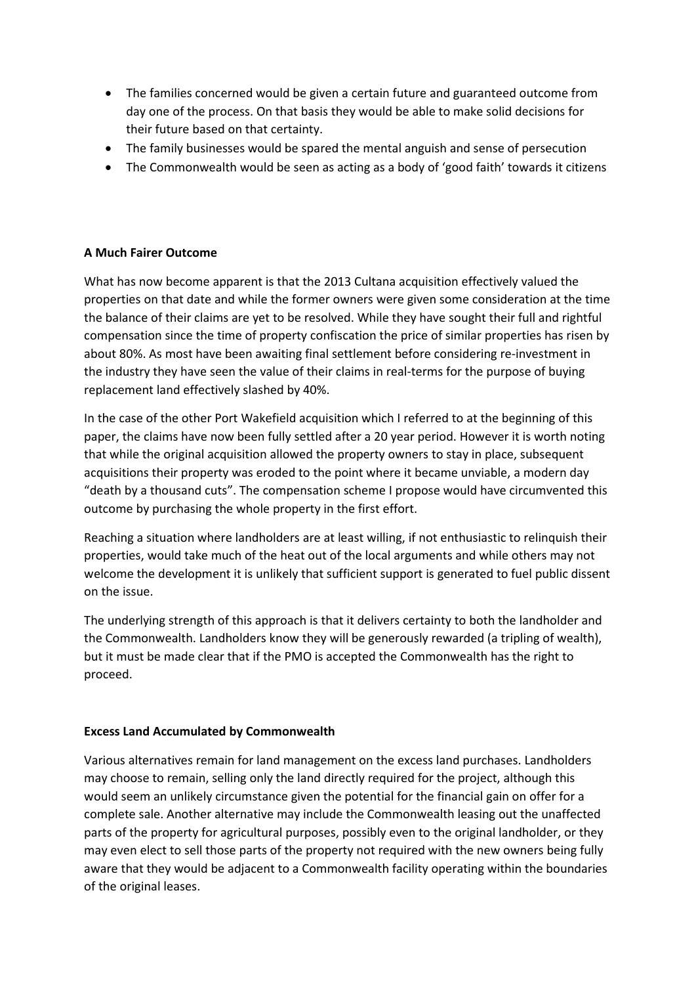- The families concerned would be given a certain future and guaranteed outcome from day one of the process. On that basis they would be able to make solid decisions for their future based on that certainty.
- The family businesses would be spared the mental anguish and sense of persecution
- The Commonwealth would be seen as acting as a body of 'good faith' towards it citizens

#### **A Much Fairer Outcome**

What has now become apparent is that the 2013 Cultana acquisition effectively valued the properties on that date and while the former owners were given some consideration at the time the balance of their claims are yet to be resolved. While they have sought their full and rightful compensation since the time of property confiscation the price of similar properties has risen by about 80%. As most have been awaiting final settlement before considering re-investment in the industry they have seen the value of their claims in real-terms for the purpose of buying replacement land effectively slashed by 40%.

In the case of the other Port Wakefield acquisition which I referred to at the beginning of this paper, the claims have now been fully settled after a 20 year period. However it is worth noting that while the original acquisition allowed the property owners to stay in place, subsequent acquisitions their property was eroded to the point where it became unviable, a modern day "death by a thousand cuts". The compensation scheme I propose would have circumvented this outcome by purchasing the whole property in the first effort.

Reaching a situation where landholders are at least willing, if not enthusiastic to relinquish their properties, would take much of the heat out of the local arguments and while others may not welcome the development it is unlikely that sufficient support is generated to fuel public dissent on the issue.

The underlying strength of this approach is that it delivers certainty to both the landholder and the Commonwealth. Landholders know they will be generously rewarded (a tripling of wealth), but it must be made clear that if the PMO is accepted the Commonwealth has the right to proceed.

#### **Excess Land Accumulated by Commonwealth**

Various alternatives remain for land management on the excess land purchases. Landholders may choose to remain, selling only the land directly required for the project, although this would seem an unlikely circumstance given the potential for the financial gain on offer for a complete sale. Another alternative may include the Commonwealth leasing out the unaffected parts of the property for agricultural purposes, possibly even to the original landholder, or they may even elect to sell those parts of the property not required with the new owners being fully aware that they would be adjacent to a Commonwealth facility operating within the boundaries of the original leases.